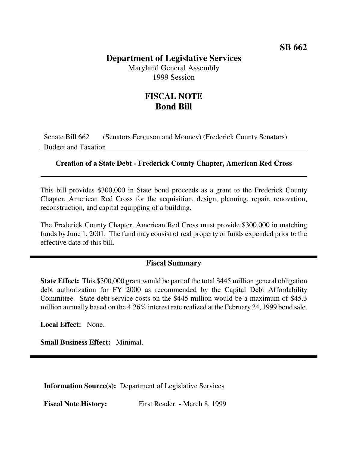## **Department of Legislative Services**

Maryland General Assembly 1999 Session

## **FISCAL NOTE Bond Bill**

Senate Bill 662 (Senators Ferguson and Mooney) (Frederick County Senators) Budget and Taxation

## **Creation of a State Debt - Frederick County Chapter, American Red Cross**

This bill provides \$300,000 in State bond proceeds as a grant to the Frederick County Chapter, American Red Cross for the acquisition, design, planning, repair, renovation, reconstruction, and capital equipping of a building.

The Frederick County Chapter, American Red Cross must provide \$300,000 in matching funds by June 1, 2001. The fund may consist of real property or funds expended prior to the effective date of this bill.

## **Fiscal Summary**

**State Effect:** This \$300,000 grant would be part of the total \$445 million general obligation debt authorization for FY 2000 as recommended by the Capital Debt Affordability Committee. State debt service costs on the \$445 million would be a maximum of \$45.3 million annually based on the 4.26% interest rate realized at the February 24, 1999 bond sale.

**Local Effect:** None.

**Small Business Effect:** Minimal.

**Information Source(s):** Department of Legislative Services

**Fiscal Note History:** First Reader - March 8, 1999